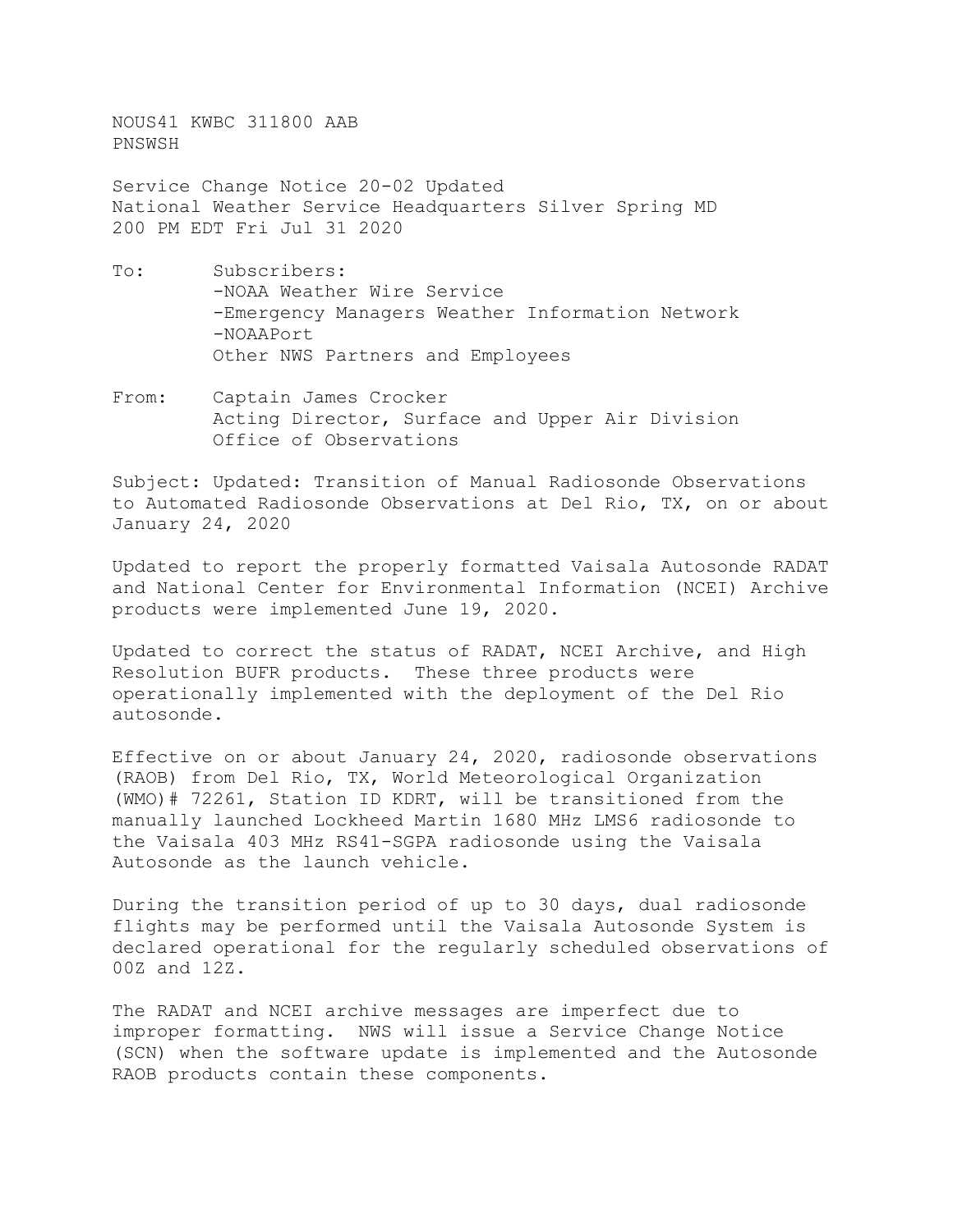NOUS41 KWBC 311800 AAB PNSWSH

Service Change Notice 20-02 Updated National Weather Service Headquarters Silver Spring MD 200 PM EDT Fri Jul 31 2020

- To: Subscribers: -NOAA Weather Wire Service -Emergency Managers Weather Information Network -NOAAPort Other NWS Partners and Employees
- From: Captain James Crocker Acting Director, Surface and Upper Air Division Office of Observations

Subject: Updated: Transition of Manual Radiosonde Observations to Automated Radiosonde Observations at Del Rio, TX, on or about January 24, 2020

Updated to report the properly formatted Vaisala Autosonde RADAT and National Center for Environmental Information (NCEI) Archive products were implemented June 19, 2020.

Updated to correct the status of RADAT, NCEI Archive, and High Resolution BUFR products. These three products were operationally implemented with the deployment of the Del Rio autosonde.

Effective on or about January 24, 2020, radiosonde observations (RAOB) from Del Rio, TX, World Meteorological Organization (WMO)# 72261, Station ID KDRT, will be transitioned from the manually launched Lockheed Martin 1680 MHz LMS6 radiosonde to the Vaisala 403 MHz RS41-SGPA radiosonde using the Vaisala Autosonde as the launch vehicle.

During the transition period of up to 30 days, dual radiosonde flights may be performed until the Vaisala Autosonde System is declared operational for the regularly scheduled observations of 00Z and 12Z.

The RADAT and NCEI archive messages are imperfect due to improper formatting. NWS will issue a Service Change Notice (SCN) when the software update is implemented and the Autosonde RAOB products contain these components.